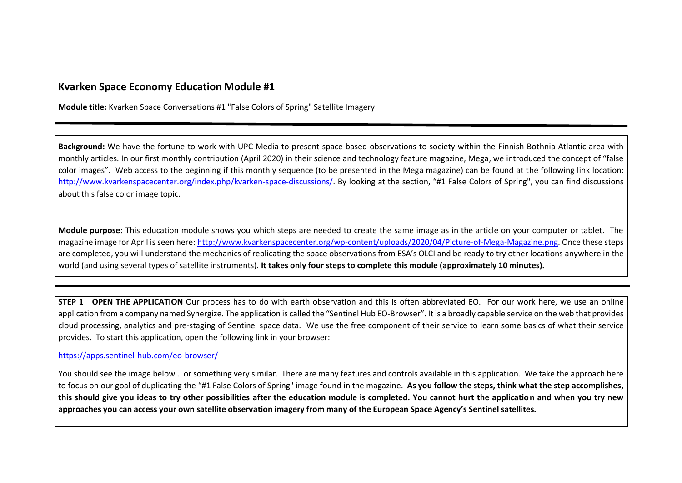## **Kvarken Space Economy Education Module #1**

**Module title:** Kvarken Space Conversations #1 "False Colors of Spring" Satellite Imagery

**Background:** We have the fortune to work with UPC Media to present space based observations to society within the Finnish Bothnia-Atlantic area with monthly articles. In our first monthly contribution (April 2020) in their science and technology feature magazine, Mega, we introduced the concept of "false color images". Web access to the beginning if this monthly sequence (to be presented in the Mega magazine) can be found at the following link location: [http://www.kvarkenspacecenter.org/index.php/kvarken-space-discussions/.](http://www.kvarkenspacecenter.org/index.php/kvarken-space-discussions/) By looking at the section, "#1 False Colors of Spring", you can find discussions about this false color image topic.

**Module purpose:** This education module shows you which steps are needed to create the same image as in the article on your computer or tablet. The magazine image for April is seen here: [http://www.kvarkenspacecenter.org/wp-content/uploads/2020/04/Picture-of-Mega-Magazine.png.](http://www.kvarkenspacecenter.org/wp-content/uploads/2020/04/Picture-of-Mega-Magazine.png) Once these steps are completed, you will understand the mechanics of replicating the space observations from ESA's OLCI and be ready to try other locations anywhere in the world (and using several types of satellite instruments). **It takes only four steps to complete this module (approximately 10 minutes).**

**STEP 1 OPEN THE APPLICATION** Our process has to do with earth observation and this is often abbreviated EO. For our work here, we use an online application from a company named Synergize. The application is called the "Sentinel Hub EO-Browser". It is a broadly capable service on the web that provides cloud processing, analytics and pre-staging of Sentinel space data. We use the free component of their service to learn some basics of what their service provides. To start this application, open the following link in your browser:

## <https://apps.sentinel-hub.com/eo-browser/>

You should see the image below.. or something very similar. There are many features and controls available in this application. We take the approach here to focus on our goal of duplicating the "#1 False Colors of Spring" image found in the magazine. **As you follow the steps, think what the step accomplishes, this should give you ideas to try other possibilities after the education module is completed. You cannot hurt the application and when you try new approaches you can access your own satellite observation imagery from many of the European Space Agency's Sentinel satellites.**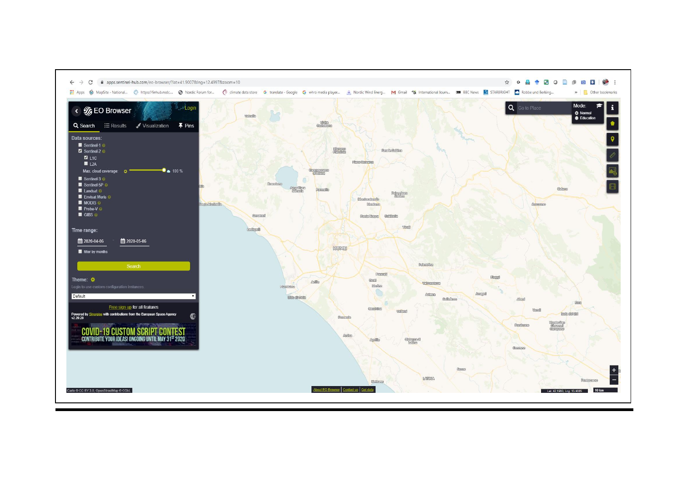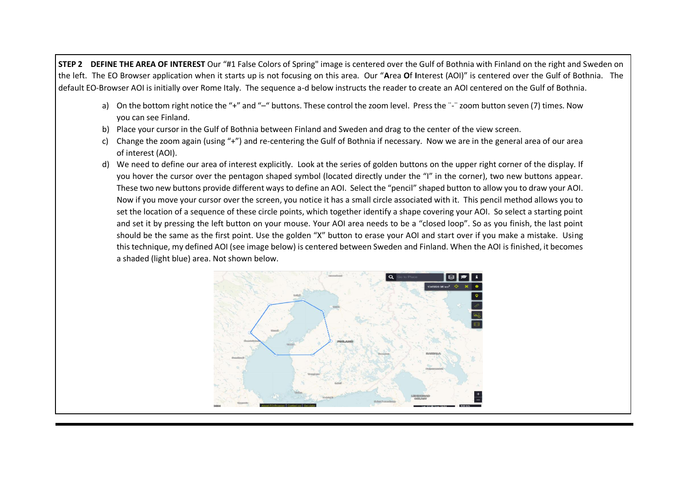**STEP 2 DEFINE THE AREA OF INTEREST** Our "#1 False Colors of Spring" image is centered over the Gulf of Bothnia with Finland on the right and Sweden on the left. The EO Browser application when it starts up is not focusing on this area. Our "**A**rea **O**f **I**nterest (AOI)" is centered over the Gulf of Bothnia. The default EO-Browser AOI is initially over Rome Italy. The sequence a-d below instructs the reader to create an AOI centered on the Gulf of Bothnia.

- a) On the bottom right notice the "+" and "-" buttons. These control the zoom level. Press the "-" zoom button seven (7) times. Now you can see Finland.
- b) Place your cursor in the Gulf of Bothnia between Finland and Sweden and drag to the center of the view screen.
- c) Change the zoom again (using "+") and re-centering the Gulf of Bothnia if necessary. Now we are in the general area of our area of interest (AOI).
- d) We need to define our area of interest explicitly. Look at the series of golden buttons on the upper right corner of the display. If you hover the cursor over the pentagon shaped symbol (located directly under the "I" in the corner), two new buttons appear. These two new buttons provide different ways to define an AOI. Select the "pencil" shaped button to allow you to draw your AOI. Now if you move your cursor over the screen, you notice it has a small circle associated with it. This pencil method allows you to set the location of a sequence of these circle points, which together identify a shape covering your AOI. So select a starting point and set it by pressing the left button on your mouse. Your AOI area needs to be a "closed loop". So as you finish, the last point should be the same as the first point. Use the golden "X" button to erase your AOI and start over if you make a mistake. Using this technique, my defined AOI (see image below) is centered between Sweden and Finland. When the AOI is finished, it becomes a shaded (light blue) area. Not shown below.

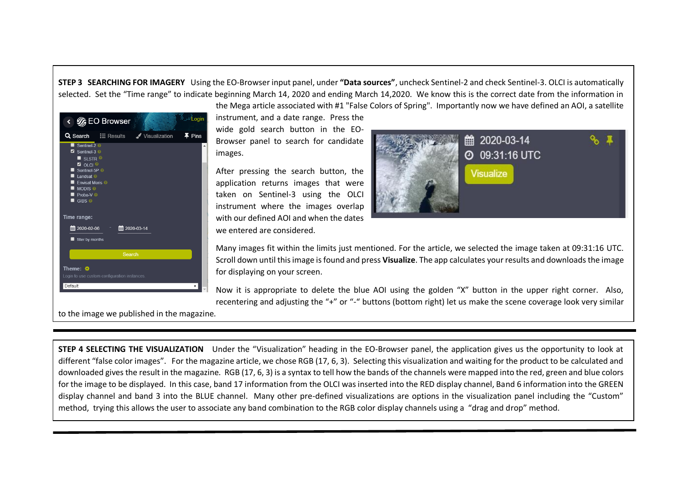**STEP 3 SEARCHING FOR IMAGERY** Using the EO-Browser input panel, under **"Data sources"**, uncheck Sentinel-2 and check Sentinel-3. OLCI is automatically selected. Set the "Time range" to indicate beginning March 14, 2020 and ending March 14,2020. We know this is the correct date from the information in the Mega article associated with #1 "False Colors of Spring". Importantly now we have defined an AOI, a satellite



instrument, and a date range. Press the wide gold search button in the EO-Browser panel to search for candidate images.

After pressing the search button, the application returns images that were taken on Sentinel-3 using the OLCI instrument where the images overlap with our defined AOI and when the dates we entered are considered.



Many images fit within the limits just mentioned. For the article, we selected the image taken at 09:31:16 UTC. Scroll down until this image is found and press **Visualize**. The app calculates your results and downloads the image for displaying on your screen.

Now it is appropriate to delete the blue AOI using the golden "X" button in the upper right corner. Also, recentering and adjusting the "+" or "-" buttons (bottom right) let us make the scene coverage look very similar

to the image we published in the magazine.

**STEP 4 SELECTING THE VISUALIZATION** Under the "Visualization" heading in the EO-Browser panel, the application gives us the opportunity to look at different "false color images". For the magazine article, we chose RGB (17, 6, 3). Selecting this visualization and waiting for the product to be calculated and downloaded gives the result in the magazine. RGB (17, 6, 3) is a syntax to tell how the bands of the channels were mapped into the red, green and blue colors for the image to be displayed. In this case, band 17 information from the OLCI was inserted into the RED display channel, Band 6 information into the GREEN display channel and band 3 into the BLUE channel. Many other pre-defined visualizations are options in the visualization panel including the "Custom" method, trying this allows the user to associate any band combination to the RGB color display channels using a "drag and drop" method.